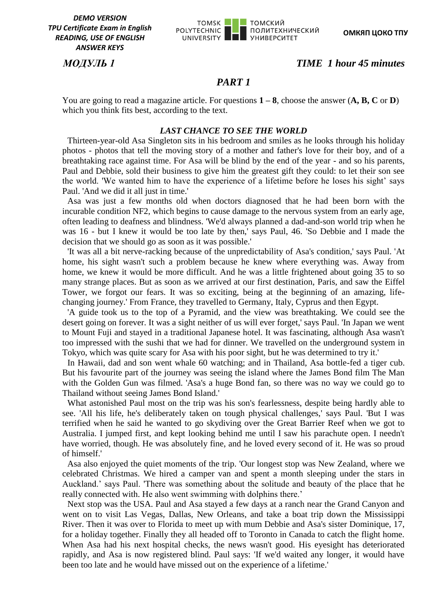

# *МОДУЛЬ 1 TIME 1 hour 45 minutes*

# *PART 1*

You are going to read a magazine article. For questions **1 – 8**, choose the answer (**A, B, C** or **D**) which you think fits best, according to the text.

#### *LAST CHANCE TO SEE THE WORLD*

Thirteen-year-old Asa Singleton sits in his bedroom and smiles as he looks through his holiday photos - photos that tell the moving story of a mother and father's love for their boy, and of a breathtaking race against time. For Asa will be blind by the end of the year - and so his parents, Paul and Debbie, sold their business to give him the greatest gift they could: to let their son see the world. 'We wanted him to have the experience of a lifetime before he loses his sight' says Paul. 'And we did it all just in time.'

Asa was just a few months old when doctors diagnosed that he had been born with the incurable condition NF2, which begins to cause damage to the nervous system from an early age, often leading to deafness and blindness. 'We'd always planned a dad-and-son world trip when he was 16 - but I knew it would be too late by then,' says Paul, 46. 'So Debbie and I made the decision that we should go as soon as it was possible.'

'It was all a bit nerve-racking because of the unpredictability of Asa's condition,' says Paul. 'At home, his sight wasn't such a problem because he knew where everything was. Away from home, we knew it would be more difficult. And he was a little frightened about going 35 to so many strange places. But as soon as we arrived at our first destination, Paris, and saw the Eiffel Tower, we forgot our fears. It was so exciting, being at the beginning of an amazing, lifechanging journey.' From France, they travelled to Germany, Italy, Cyprus and then Egypt.

'A guide took us to the top of a Pyramid, and the view was breathtaking. We could see the desert going on forever. It was a sight neither of us will ever forget,' says Paul. 'In Japan we went to Mount Fuji and stayed in a traditional Japanese hotel. It was fascinating, although Asa wasn't too impressed with the sushi that we had for dinner. We travelled on the underground system in Tokyo, which was quite scary for Asa with his poor sight, but he was determined to try it.'

In Hawaii, dad and son went whale 60 watching; and in Thailand, Asa bottle-fed a tiger cub. But his favourite part of the journey was seeing the island where the James Bond film The Man with the Golden Gun was filmed. 'Asa's a huge Bond fan, so there was no way we could go to Thailand without seeing James Bond Island.'

What astonished Paul most on the trip was his son's fearlessness, despite being hardly able to see. 'All his life, he's deliberately taken on tough physical challenges,' says Paul. 'But I was terrified when he said he wanted to go skydiving over the Great Barrier Reef when we got to Australia. I jumped first, and kept looking behind me until I saw his parachute open. I needn't have worried, though. He was absolutely fine, and he loved every second of it. He was so proud of himself.'

Asa also enjoyed the quiet moments of the trip. 'Our longest stop was New Zealand, where we celebrated Christmas. We hired a camper van and spent a month sleeping under the stars in Auckland.' says Paul. 'There was something about the solitude and beauty of the place that he really connected with. He also went swimming with dolphins there.'

Next stop was the USA. Paul and Asa stayed a few days at a ranch near the Grand Canyon and went on to visit Las Vegas, Dallas, New Orleans, and take a boat trip down the Mississippi River. Then it was over to Florida to meet up with mum Debbie and Asa's sister Dominique, 17, for a holiday together. Finally they all headed off to Toronto in Canada to catch the flight home. When Asa had his next hospital checks, the news wasn't good. His eyesight has deteriorated rapidly, and Asa is now registered blind. Paul says: 'If we'd waited any longer, it would have been too late and he would have missed out on the experience of a lifetime.'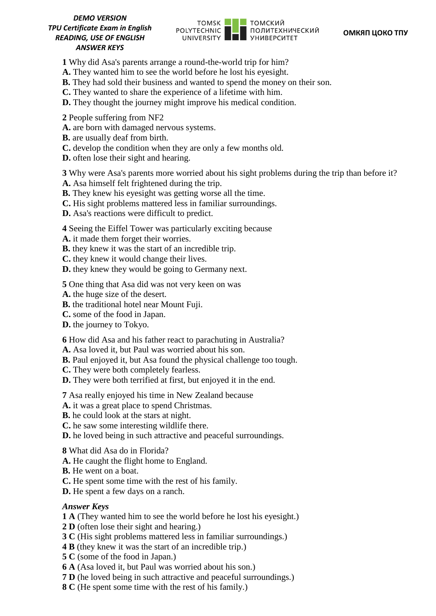

- **1** Why did Asa's parents arrange a round-the-world trip for him?
- **A.** They wanted him to see the world before he lost his eyesight.
- **B.** They had sold their business and wanted to spend the money on their son.
- **C.** They wanted to share the experience of a lifetime with him.
- **D.** They thought the journey might improve his medical condition.
- **2** People suffering from NF2
- **A.** are born with damaged nervous systems.
- **B.** are usually deaf from birth.
- **C.** develop the condition when they are only a few months old.
- **D.** often lose their sight and hearing.

**3** Why were Asa's parents more worried about his sight problems during the trip than before it? **A.** Asa himself felt frightened during the trip.

- **B.** They knew his eyesight was getting worse all the time.
- **C.** His sight problems mattered less in familiar surroundings.
- **D.** Asa's reactions were difficult to predict.

**4** Seeing the Eiffel Tower was particularly exciting because

- **A.** it made them forget their worries.
- **B.** they knew it was the start of an incredible trip.
- **C.** they knew it would change their lives.
- **D.** they knew they would be going to Germany next.

**5** One thing that Asa did was not very keen on was

- **A.** the huge size of the desert.
- **B.** the traditional hotel near Mount Fuji.
- **C.** some of the food in Japan.
- **D.** the journey to Tokyo.

**6** How did Asa and his father react to parachuting in Australia?

- **A.** Asa loved it, but Paul was worried about his son.
- **B.** Paul enjoyed it, but Asa found the physical challenge too tough.
- **C.** They were both completely fearless.
- **D.** They were both terrified at first, but enjoyed it in the end.

**7** Asa really enjoyed his time in New Zealand because

- **A.** it was a great place to spend Christmas.
- **B.** he could look at the stars at night.
- **C.** he saw some interesting wildlife there.
- **D.** he loved being in such attractive and peaceful surroundings.
- **8** What did Asa do in Florida?
- **A.** He caught the flight home to England.
- **B.** He went on a boat.
- **C.** He spent some time with the rest of his family.
- **D.** He spent a few days on a ranch.

#### *Answer Keys*

- **1 A** (They wanted him to see the world before he lost his eyesight.)
- **2 D** (often lose their sight and hearing.)
- **3 C** (His sight problems mattered less in familiar surroundings.)
- **4 B** (they knew it was the start of an incredible trip.)
- **5 C** (some of the food in Japan.)
- **6 A** (Asa loved it, but Paul was worried about his son.)
- **7 D** (he loved being in such attractive and peaceful surroundings.)
- **8 C** (He spent some time with the rest of his family.)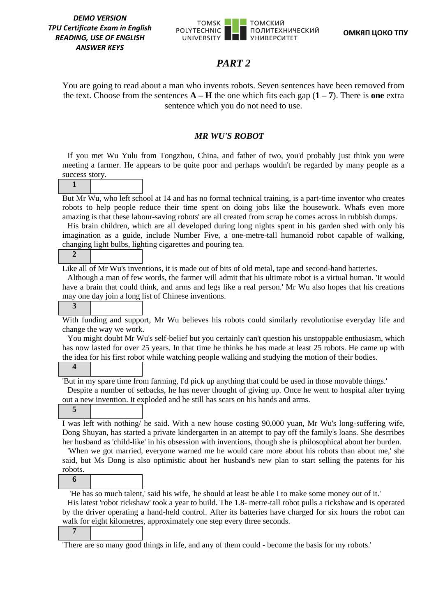**1**

**2**

**3**

**4**

**5**



# *PART 2*

You are going to read about a man who invents robots. Seven sentences have been removed from the text. Choose from the sentences  $\mathbf{A} - \mathbf{H}$  the one which fits each gap  $(1 – 7)$ . There is **one** extra sentence which you do not need to use.

#### *MR WU'S ROBOT*

If you met Wu Yulu from Tongzhou, China, and father of two, you'd probably just think you were meeting a farmer. He appears to be quite poor and perhaps wouldn't be regarded by many people as a success story.

But Mr Wu, who left school at 14 and has no formal technical training, is a part-time inventor who creates robots to help people reduce their time spent on doing jobs like the housework. Whafs even more amazing is that these labour-saving robots' are all created from scrap he comes across in rubbish dumps.

His brain children, which are all developed during long nights spent in his garden shed with only his imagination as a guide, include Number Five, a one-metre-tall humanoid robot capable of walking, changing light bulbs, lighting cigarettes and pouring tea.

Like all of Mr Wu's inventions, it is made out of bits of old metal, tape and second-hand batteries.

Although a man of few words, the farmer will admit that his ultimate robot is a virtual human. 'It would have a brain that could think, and arms and legs like a real person.' Mr Wu also hopes that his creations may one day join a long list of Chinese inventions.

With funding and support, Mr Wu believes his robots could similarly revolutionise everyday life and change the way we work.

You might doubt Mr Wu's self-belief but you certainly can't question his unstoppable enthusiasm, which has now lasted for over 25 years. In that time he thinks he has made at least 25 robots. He came up with the idea for his first robot while watching people walking and studying the motion of their bodies.

'But in my spare time from farming, I'd pick up anything that could be used in those movable things.'

Despite a number of setbacks, he has never thought of giving up. Once he went to hospital after trying out a new invention. It exploded and he still has scars on his hands and arms.

I was left with nothing/ he said. With a new house costing 90,000 yuan, Mr Wu's long-suffering wife, Dong Shuyan, has started a private kindergarten in an attempt to pay off the family's loans. She describes her husband as 'child-like' in his obsession with inventions, though she is philosophical about her burden.

'When we got married, everyone warned me he would care more about his robots than about me,' she said, but Ms Dong is also optimistic about her husband's new plan to start selling the patents for his robots.

**6**

'He has so much talent,' said his wife, 'he should at least be able I to make some money out of it.'

His latest 'robot rickshaw' took a year to build. The 1.8- metre-tall robot pulls a rickshaw and is operated by the driver operating a hand-held control. After its batteries have charged for six hours the robot can walk for eight kilometres, approximately one step every three seconds.

**7**

'There are so many good things in life, and any of them could - become the basis for my robots.'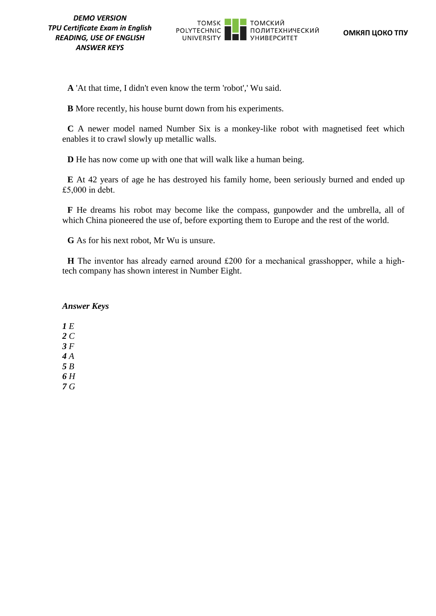

**A** 'At that time, I didn't even know the term 'robot',' Wu said.

**B** More recently, his house burnt down from his experiments.

**C** A newer model named Number Six is a monkey-like robot with magnetised feet which enables it to crawl slowly up metallic walls.

**D** He has now come up with one that will walk like a human being.

**E** At 42 years of age he has destroyed his family home, been seriously burned and ended up £5,000 in debt.

**F** He dreams his robot may become like the compass, gunpowder and the umbrella, all of which China pioneered the use of, before exporting them to Europe and the rest of the world.

**G** As for his next robot, Mr Wu is unsure.

**H** The inventor has already earned around £200 for a mechanical grasshopper, while a hightech company has shown interest in Number Eight.

### *Answer Keys*

*1 E 2 C 3 F 4 A 5 B 6 H 7 G*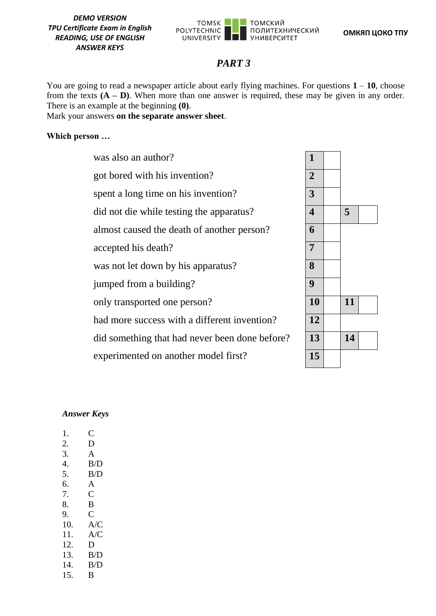

# *PART 3*

You are going to read a newspaper article about early flying machines. For questions  $1 - 10$ , choose from the texts  $(A - D)$ . When more than one answer is required, these may be given in any order. There is an example at the beginning **(0)**.

Mark your answers **on the separate answer sheet**.

### **Which person …**

was also an author? got bored with his invention? **2** spent a long time on his invention? **3** did not die while testing the apparatus? **4 5** almost caused the death of another person? **6** accepted his death? **7** was not let down by his apparatus? **8** jumped from a building? **9** only transported one person? **10 11** had more success with a different invention? **12** did something that had never been done before? experimented on another model first?

| $\mathbf{1}$              |    |  |
|---------------------------|----|--|
| $\overline{2}$            |    |  |
| $\overline{3}$            |    |  |
| $\overline{\overline{4}}$ | 5  |  |
| $\overline{\mathbf{6}}$   |    |  |
| $\overline{7}$            |    |  |
| 8                         |    |  |
| $\overline{9}$            |    |  |
| 10                        | 11 |  |
| 12                        |    |  |
| 13                        | 14 |  |
| 15                        |    |  |

#### *Answer Keys*

| C   |
|-----|
| D   |
| A   |
| B/D |
| B/D |
| A   |
| C   |
| B   |
| C   |
| A/C |
| A/C |
| D   |
| B/D |
| B/D |
| B   |
|     |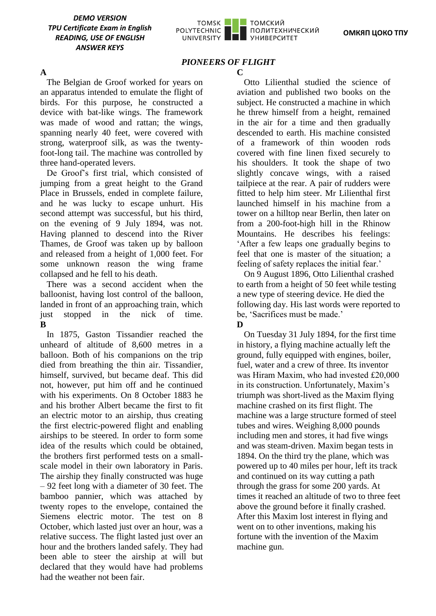

# *PIONEERS OF FLIGHT*

#### **A**

The Belgian de Groof worked for years on an apparatus intended to emulate the flight of birds. For this purpose, he constructed a device with bat-like wings. The framework was made of wood and rattan; the wings, spanning nearly 40 feet, were covered with strong, waterproof silk, as was the twentyfoot-long tail. The machine was controlled by three hand-operated levers.

De Groof's first trial, which consisted of jumping from a great height to the Grand Place in Brussels, ended in complete failure, and he was lucky to escape unhurt. His second attempt was successful, but his third, on the evening of 9 July 1894, was not. Having planned to descend into the River Thames, de Groof was taken up by balloon and released from a height of 1,000 feet. For some unknown reason the wing frame collapsed and he fell to his death.

There was a second accident when the balloonist, having lost control of the balloon, landed in front of an approaching train, which just stopped in the nick of time. **B**

In 1875, Gaston Tissandier reached the unheard of altitude of 8,600 metres in a balloon. Both of his companions on the trip died from breathing the thin air. Tissandier, himself, survived, but became deaf. This did not, however, put him off and he continued with his experiments. On 8 October 1883 he and his brother Albert became the first to fit an electric motor to an airship, thus creating the first electric-powered flight and enabling airships to be steered. In order to form some idea of the results which could be obtained, the brothers first performed tests on a smallscale model in their own laboratory in Paris. The airship they finally constructed was huge – 92 feet long with a diameter of 30 feet. The bamboo pannier, which was attached by twenty ropes to the envelope, contained the Siemens electric motor. The test on 8 October, which lasted just over an hour, was a relative success. The flight lasted just over an hour and the brothers landed safely. They had been able to steer the airship at will but declared that they would have had problems had the weather not been fair.

 $\mathbb{C}$ 

Otto Lilienthal studied the science of aviation and published two books on the subject. He constructed a machine in which he threw himself from a height, remained in the air for a time and then gradually descended to earth. His machine consisted of a framework of thin wooden rods covered with fine linen fixed securely to his shoulders. It took the shape of two slightly concave wings, with a raised tailpiece at the rear. A pair of rudders were fitted to help him steer. Mr Lilienthal first launched himself in his machine from a tower on a hilltop near Berlin, then later on from a 200-foot-high hill in the Rhinow Mountains. He describes his feelings: 'After a few leaps one gradually begins to feel that one is master of the situation; a feeling of safety replaces the initial fear.'

On 9 August 1896, Otto Lilienthal crashed to earth from a height of 50 feet while testing a new type of steering device. He died the following day. His last words were reported to be, 'Sacrifices must be made.' **D** 

On Tuesday 31 July 1894, for the first time in history, a flying machine actually left the ground, fully equipped with engines, boiler, fuel, water and a crew of three. Its inventor was Hiram Maxim, who had invested £20,000 in its construction. Unfortunately, Maxim's triumph was short-lived as the Maxim flying machine crashed on its first flight. The machine was a large structure formed of steel tubes and wires. Weighing 8,000 pounds including men and stores, it had five wings and was steam-driven. Maxim began tests in 1894. On the third try the plane, which was powered up to 40 miles per hour, left its track and continued on its way cutting a path through the grass for some 200 yards. At times it reached an altitude of two to three feet above the ground before it finally crashed. After this Maxim lost interest in flying and went on to other inventions, making his fortune with the invention of the Maxim machine gun.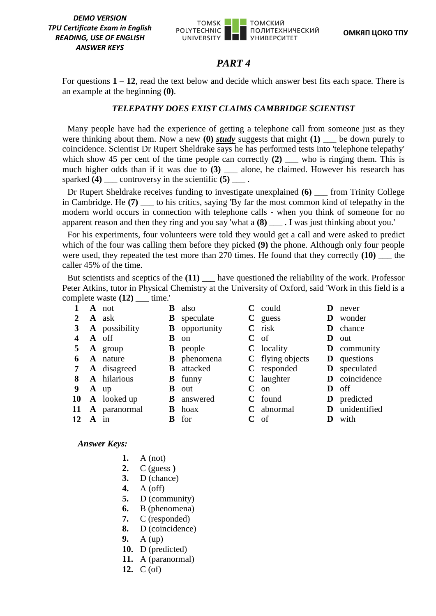

# *PART 4*

For questions **1 – 12**, read the text below and decide which answer best fits each space. There is an example at the beginning **(0)**.

### *TELEPATHY DOES EXIST CLAIMS CAMBRIDGE SCIENTIST*

Many people have had the experience of getting a telephone call from someone just as they were thinking about them. Now a new **(0)** *study* suggests that might **(1)** \_\_\_ be down purely to coincidence. Scientist Dr Rupert Sheldrake says he has performed tests into 'telephone telepathy' which show 45 per cent of the time people can correctly  $(2)$  who is ringing them. This is much higher odds than if it was due to **(3)** \_\_\_ alone, he claimed. However his research has sparked **(4)** \_\_\_ controversy in the scientific **(5)** \_\_\_ .

Dr Rupert Sheldrake receives funding to investigate unexplained **(6)** \_\_\_ from Trinity College in Cambridge. He **(7)** \_\_\_ to his critics, saying 'By far the most common kind of telepathy in the modern world occurs in connection with telephone calls - when you think of someone for no apparent reason and then they ring and you say 'what a **(8)** . I was just thinking about you.'

For his experiments, four volunteers were told they would get a call and were asked to predict which of the four was calling them before they picked **(9)** the phone. Although only four people were used, they repeated the test more than 270 times. He found that they correctly **(10)** \_\_\_ the caller 45% of the time.

But scientists and sceptics of the **(11)** \_\_\_ have questioned the reliability of the work. Professor Peter Atkins, tutor in Physical Chemistry at the University of Oxford, said 'Work in this field is a complete waste **(12)** \_\_\_ time.'

|    |        | <b>A</b> not       | B | also               |   | $C$ could         | Ð | never               |
|----|--------|--------------------|---|--------------------|---|-------------------|---|---------------------|
|    |        | <b>A</b> ask       | B | speculate          |   | $C$ guess         |   | <b>D</b> wonder     |
| 3  |        | A possibility      | B | opportunity        |   | $\mathbf C$ risk  | D | chance              |
|    |        | A off              | B | <sub>on</sub>      | C | of                | Ð | out                 |
| 5  |        | <b>A</b> group     |   | <b>B</b> people    |   | <b>C</b> locality |   | <b>D</b> community  |
| 6  |        | A nature           |   | <b>B</b> phenomena |   | C flying objects  |   | <b>D</b> questions  |
| 7  |        | <b>A</b> disagreed | B | attacked           |   | C responded       |   | <b>D</b> speculated |
| 8  |        | A hilarious        |   | <b>B</b> funny     |   | $C$ laughter      |   | D coincidence       |
| 9  |        | $A$ up             | B | out                | C | <sub>on</sub>     | Ð | off                 |
|    |        | 10 A looked up     |   | <b>B</b> answered  |   | C found           |   | <b>D</b> predicted  |
|    |        | 11 A paranormal    | В | hoax               |   | $C$ abnormal      |   | D unidentified      |
| 12 | $A$ in |                    | B | for                | C | of                |   | with                |
|    |        |                    |   |                    |   |                   |   |                     |

*Answer Keys:*

- **1.** A (not)
- **2.** C (guess **)**
- **3.** D (chance)
- **4.** A (off)
- **5.** D (community)
- **6.** B (phenomena)
- **7.** C (responded)
- **8.** D (coincidence)
- **9.** A (up)
- **10.** D (predicted)
- **11.** A (paranormal)
- **12.** C (of)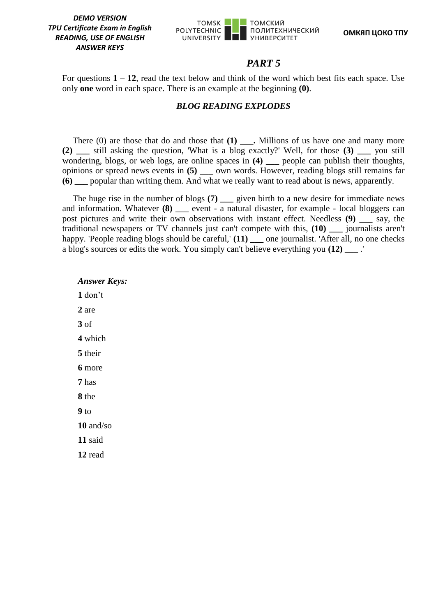

### *PART 5*

For questions **1 – 12**, read the text below and think of the word which best fits each space. Use only **one** word in each space. There is an example at the beginning **(0)**.

### *BLOG READING EXPLODES*

There (0) are those that do and those that **(1) \_\_\_.** Millions of us have one and many more **(2) \_\_\_** still asking the question, 'What is a blog exactly?' Well, for those **(3) \_\_\_** you still wondering, blogs, or web logs, are online spaces in **(4) \_\_\_** people can publish their thoughts, opinions or spread news events in **(5) \_\_\_** own words. However, reading blogs still remains far **(6) \_\_\_** popular than writing them. And what we really want to read about is news, apparently.

The huge rise in the number of blogs (7) given birth to a new desire for immediate news and information. Whatever **(8)** event - a natural disaster, for example - local bloggers can post pictures and write their own observations with instant effect. Needless **(9) \_\_\_** say, the traditional newspapers or TV channels just can't compete with this, **(10) \_\_\_** journalists aren't happy. 'People reading blogs should be careful,' (11) \_\_\_ one journalist. 'After all, no one checks a blog's sources or edits the work. You simply can't believe everything you **(12) \_\_\_** .'

*Answer Keys:* **1** don't **2** are **3** of **4** which **5** their **6** more **7** has **8** the **9** to **10** and/so **11** said **12** read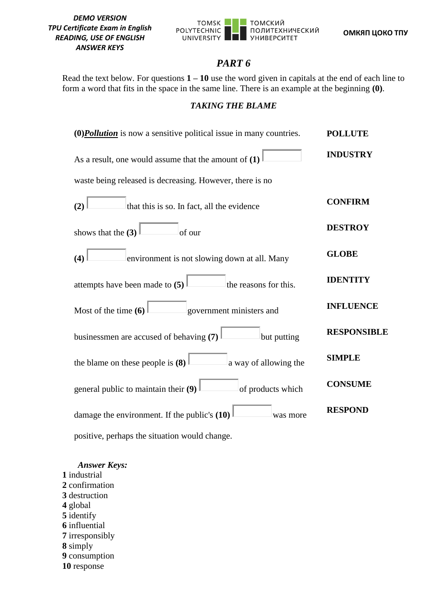

**ОМКЯП ЦОКО ТПУ**

# *PART 6*

Read the text below. For questions  $1 - 10$  use the word given in capitals at the end of each line to form a word that fits in the space in the same line. There is an example at the beginning **(0)**.

# *TAKING THE BLAME*

| $(0)$ <i>Pollution</i> is now a sensitive political issue in many countries. | <b>POLLUTE</b>     |
|------------------------------------------------------------------------------|--------------------|
| As a result, one would assume that the amount of $(1)$                       | <b>INDUSTRY</b>    |
| waste being released is decreasing. However, there is no                     |                    |
| (2)<br>that this is so. In fact, all the evidence                            | <b>CONFIRM</b>     |
| shows that the $(3)$<br>of our                                               | <b>DESTROY</b>     |
| environment is not slowing down at all. Many<br>(4)                          | <b>GLOBE</b>       |
| attempts have been made to (5)<br>the reasons for this.                      | <b>IDENTITY</b>    |
| government ministers and<br>Most of the time $(6)$                           | <b>INFLUENCE</b>   |
| businessmen are accused of behaving (7)<br>but putting                       | <b>RESPONSIBLE</b> |
| the blame on these people is (8) $\vert$<br>a way of allowing the            | <b>SIMPLE</b>      |
| general public to maintain their (9)<br>of products which                    | <b>CONSUME</b>     |
| damage the environment. If the public's $(10)$<br>was more                   | <b>RESPOND</b>     |
| positive, perhaps the situation would change.                                |                    |

*Answer Keys:* **1** industrial **2** confirmation **3** destruction **4** global **5** identify **6** influential **7** irresponsibly **8** simply **9** consumption **10** response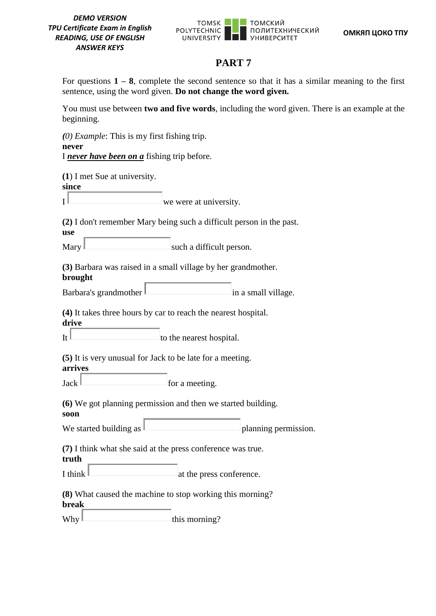

# **PART 7**

For questions  $1 - 8$ , complete the second sentence so that it has a similar meaning to the first sentence, using the word given. **Do not change the word given.**

You must use between **two and five words**, including the word given. There is an example at the beginning.

*(0) Example*: This is my first fishing trip. **never** I *never have been on a* fishing trip before. **(1**) I met Sue at university. **since**  $I^{\parallel}$  we were at university. **(2)** I don't remember Mary being such a difficult person in the past. **use**  $\text{Mary}$  such a difficult person. **(3)** Barbara was raised in a small village by her grandmother. **brought** Barbara's grandmother  $\|$  in a small village. **(4)** It takes three hours by car to reach the nearest hospital. **drive** It  $\|$  to the nearest hospital. **(5)** It is very unusual for Jack to be late for a meeting. **arrives**  $Jack \sim$  for a meeting. **(6)** We got planning permission and then we started building. **soon** We started building as  $\Box$ **(7)** I think what she said at the press conference was true. **truth** I think  $\parallel$  at the press conference. **(8)** What caused the machine to stop working this morning? **break**

 $Why$   $\Box$  this morning?